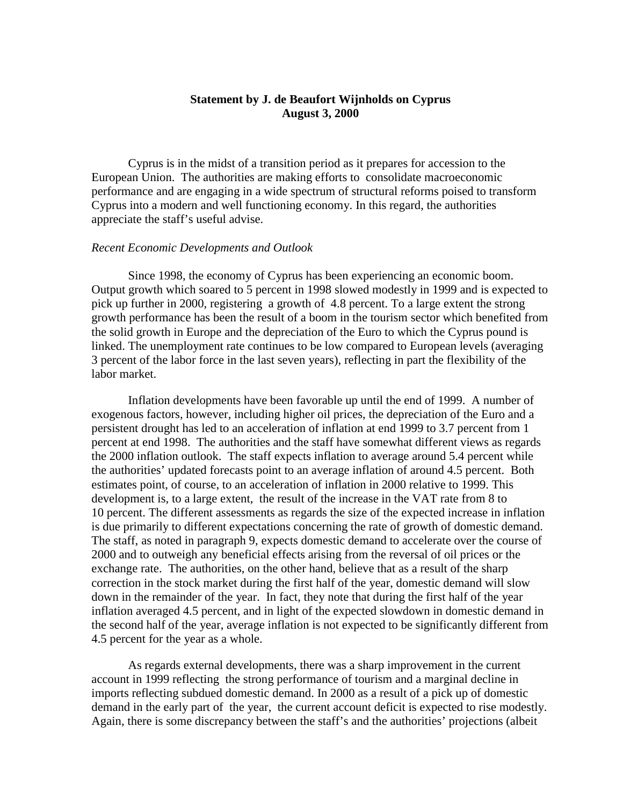# **Statement by J. de Beaufort Wijnholds on Cyprus August 3, 2000**

Cyprus is in the midst of a transition period as it prepares for accession to the European Union. The authorities are making efforts to consolidate macroeconomic performance and are engaging in a wide spectrum of structural reforms poised to transform Cyprus into a modern and well functioning economy. In this regard, the authorities appreciate the staff's useful advise.

### *Recent Economic Developments and Outlook*

Since 1998, the economy of Cyprus has been experiencing an economic boom. Output growth which soared to 5 percent in 1998 slowed modestly in 1999 and is expected to pick up further in 2000, registering a growth of 4.8 percent. To a large extent the strong growth performance has been the result of a boom in the tourism sector which benefited from the solid growth in Europe and the depreciation of the Euro to which the Cyprus pound is linked. The unemployment rate continues to be low compared to European levels (averaging 3 percent of the labor force in the last seven years), reflecting in part the flexibility of the labor market.

Inflation developments have been favorable up until the end of 1999. A number of exogenous factors, however, including higher oil prices, the depreciation of the Euro and a persistent drought has led to an acceleration of inflation at end 1999 to 3.7 percent from 1 percent at end 1998. The authorities and the staff have somewhat different views as regards the 2000 inflation outlook. The staff expects inflation to average around 5.4 percent while the authorities' updated forecasts point to an average inflation of around 4.5 percent. Both estimates point, of course, to an acceleration of inflation in 2000 relative to 1999. This development is, to a large extent, the result of the increase in the VAT rate from 8 to 10 percent. The different assessments as regards the size of the expected increase in inflation is due primarily to different expectations concerning the rate of growth of domestic demand. The staff, as noted in paragraph 9, expects domestic demand to accelerate over the course of 2000 and to outweigh any beneficial effects arising from the reversal of oil prices or the exchange rate. The authorities, on the other hand, believe that as a result of the sharp correction in the stock market during the first half of the year, domestic demand will slow down in the remainder of the year. In fact, they note that during the first half of the year inflation averaged 4.5 percent, and in light of the expected slowdown in domestic demand in the second half of the year, average inflation is not expected to be significantly different from 4.5 percent for the year as a whole.

As regards external developments, there was a sharp improvement in the current account in 1999 reflecting the strong performance of tourism and a marginal decline in imports reflecting subdued domestic demand. In 2000 as a result of a pick up of domestic demand in the early part of the year, the current account deficit is expected to rise modestly. Again, there is some discrepancy between the staff's and the authorities' projections (albeit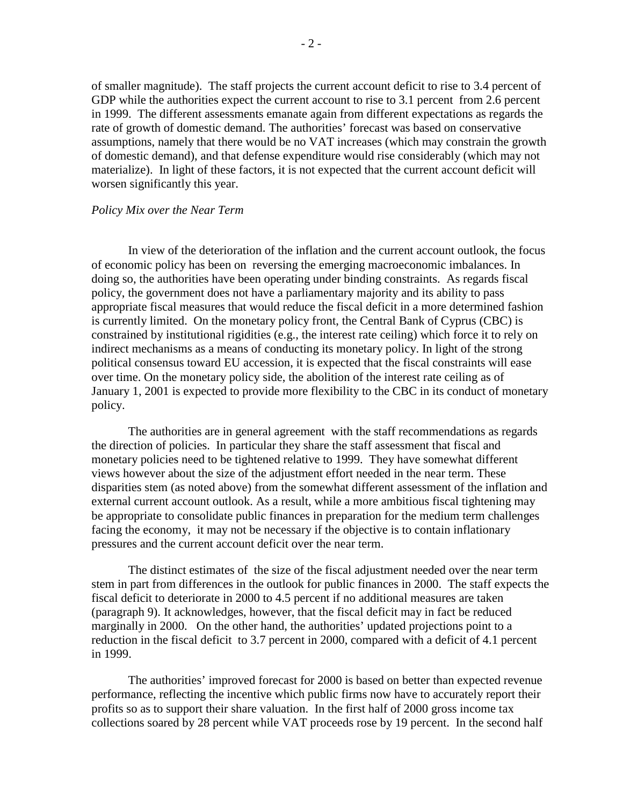of smaller magnitude). The staff projects the current account deficit to rise to 3.4 percent of GDP while the authorities expect the current account to rise to 3.1 percent from 2.6 percent in 1999. The different assessments emanate again from different expectations as regards the rate of growth of domestic demand. The authorities' forecast was based on conservative assumptions, namely that there would be no VAT increases (which may constrain the growth of domestic demand), and that defense expenditure would rise considerably (which may not materialize). In light of these factors, it is not expected that the current account deficit will worsen significantly this year.

### *Policy Mix over the Near Term*

In view of the deterioration of the inflation and the current account outlook, the focus of economic policy has been on reversing the emerging macroeconomic imbalances. In doing so, the authorities have been operating under binding constraints. As regards fiscal policy, the government does not have a parliamentary majority and its ability to pass appropriate fiscal measures that would reduce the fiscal deficit in a more determined fashion is currently limited. On the monetary policy front, the Central Bank of Cyprus (CBC) is constrained by institutional rigidities (e.g., the interest rate ceiling) which force it to rely on indirect mechanisms as a means of conducting its monetary policy. In light of the strong political consensus toward EU accession, it is expected that the fiscal constraints will ease over time. On the monetary policy side, the abolition of the interest rate ceiling as of January 1, 2001 is expected to provide more flexibility to the CBC in its conduct of monetary policy.

The authorities are in general agreement with the staff recommendations as regards the direction of policies. In particular they share the staff assessment that fiscal and monetary policies need to be tightened relative to 1999. They have somewhat different views however about the size of the adjustment effort needed in the near term. These disparities stem (as noted above) from the somewhat different assessment of the inflation and external current account outlook. As a result, while a more ambitious fiscal tightening may be appropriate to consolidate public finances in preparation for the medium term challenges facing the economy, it may not be necessary if the objective is to contain inflationary pressures and the current account deficit over the near term.

The distinct estimates of the size of the fiscal adjustment needed over the near term stem in part from differences in the outlook for public finances in 2000. The staff expects the fiscal deficit to deteriorate in 2000 to 4.5 percent if no additional measures are taken (paragraph 9). It acknowledges, however, that the fiscal deficit may in fact be reduced marginally in 2000. On the other hand, the authorities' updated projections point to a reduction in the fiscal deficit to 3.7 percent in 2000, compared with a deficit of 4.1 percent in 1999.

The authorities' improved forecast for 2000 is based on better than expected revenue performance, reflecting the incentive which public firms now have to accurately report their profits so as to support their share valuation. In the first half of 2000 gross income tax collections soared by 28 percent while VAT proceeds rose by 19 percent. In the second half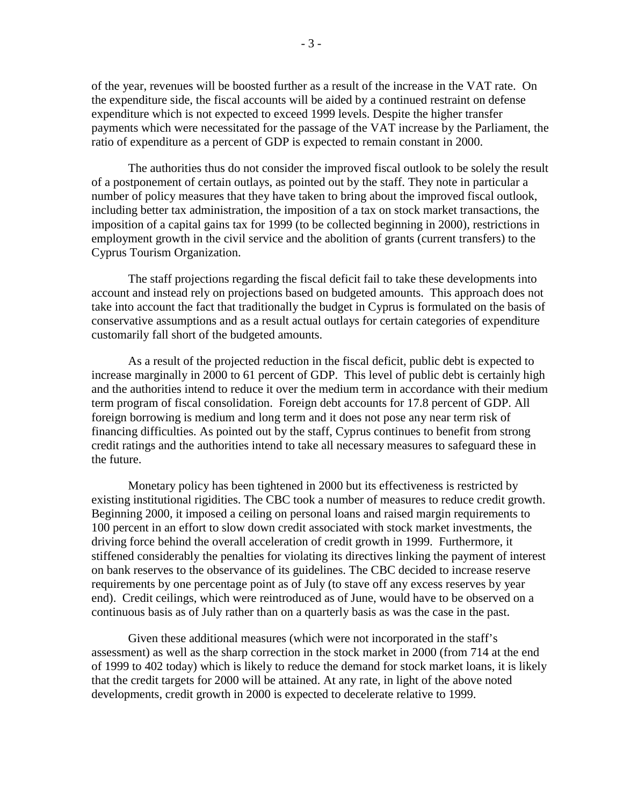of the year, revenues will be boosted further as a result of the increase in the VAT rate. On the expenditure side, the fiscal accounts will be aided by a continued restraint on defense expenditure which is not expected to exceed 1999 levels. Despite the higher transfer payments which were necessitated for the passage of the VAT increase by the Parliament, the ratio of expenditure as a percent of GDP is expected to remain constant in 2000.

The authorities thus do not consider the improved fiscal outlook to be solely the result of a postponement of certain outlays, as pointed out by the staff. They note in particular a number of policy measures that they have taken to bring about the improved fiscal outlook, including better tax administration, the imposition of a tax on stock market transactions, the imposition of a capital gains tax for 1999 (to be collected beginning in 2000), restrictions in employment growth in the civil service and the abolition of grants (current transfers) to the Cyprus Tourism Organization.

The staff projections regarding the fiscal deficit fail to take these developments into account and instead rely on projections based on budgeted amounts. This approach does not take into account the fact that traditionally the budget in Cyprus is formulated on the basis of conservative assumptions and as a result actual outlays for certain categories of expenditure customarily fall short of the budgeted amounts.

As a result of the projected reduction in the fiscal deficit, public debt is expected to increase marginally in 2000 to 61 percent of GDP. This level of public debt is certainly high and the authorities intend to reduce it over the medium term in accordance with their medium term program of fiscal consolidation. Foreign debt accounts for 17.8 percent of GDP. All foreign borrowing is medium and long term and it does not pose any near term risk of financing difficulties. As pointed out by the staff, Cyprus continues to benefit from strong credit ratings and the authorities intend to take all necessary measures to safeguard these in the future.

Monetary policy has been tightened in 2000 but its effectiveness is restricted by existing institutional rigidities. The CBC took a number of measures to reduce credit growth. Beginning 2000, it imposed a ceiling on personal loans and raised margin requirements to 100 percent in an effort to slow down credit associated with stock market investments, the driving force behind the overall acceleration of credit growth in 1999. Furthermore, it stiffened considerably the penalties for violating its directives linking the payment of interest on bank reserves to the observance of its guidelines. The CBC decided to increase reserve requirements by one percentage point as of July (to stave off any excess reserves by year end). Credit ceilings, which were reintroduced as of June, would have to be observed on a continuous basis as of July rather than on a quarterly basis as was the case in the past.

Given these additional measures (which were not incorporated in the staff's assessment) as well as the sharp correction in the stock market in 2000 (from 714 at the end of 1999 to 402 today) which is likely to reduce the demand for stock market loans, it is likely that the credit targets for 2000 will be attained. At any rate, in light of the above noted developments, credit growth in 2000 is expected to decelerate relative to 1999.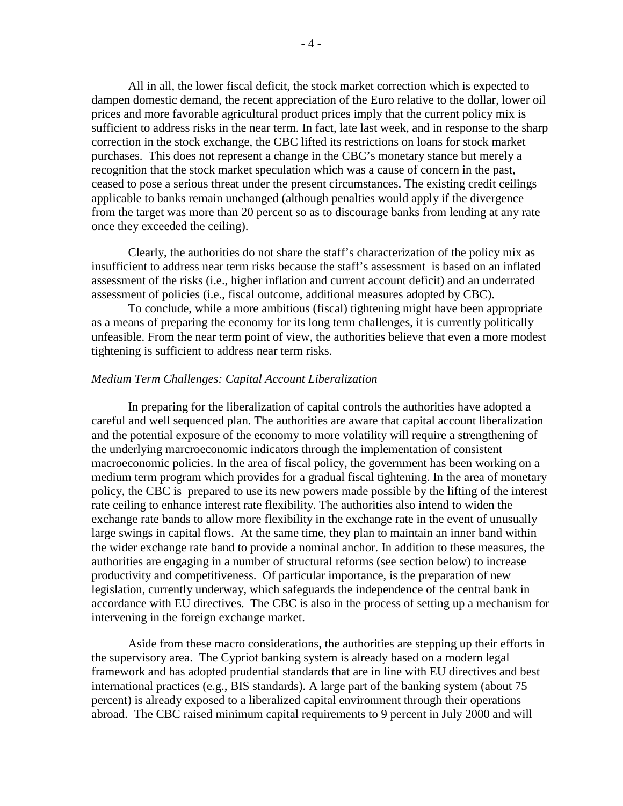All in all, the lower fiscal deficit, the stock market correction which is expected to dampen domestic demand, the recent appreciation of the Euro relative to the dollar, lower oil prices and more favorable agricultural product prices imply that the current policy mix is sufficient to address risks in the near term. In fact, late last week, and in response to the sharp correction in the stock exchange, the CBC lifted its restrictions on loans for stock market purchases. This does not represent a change in the CBC's monetary stance but merely a recognition that the stock market speculation which was a cause of concern in the past, ceased to pose a serious threat under the present circumstances. The existing credit ceilings applicable to banks remain unchanged (although penalties would apply if the divergence from the target was more than 20 percent so as to discourage banks from lending at any rate once they exceeded the ceiling).

Clearly, the authorities do not share the staff's characterization of the policy mix as insufficient to address near term risks because the staff's assessment is based on an inflated assessment of the risks (i.e., higher inflation and current account deficit) and an underrated assessment of policies (i.e., fiscal outcome, additional measures adopted by CBC).

To conclude, while a more ambitious (fiscal) tightening might have been appropriate as a means of preparing the economy for its long term challenges, it is currently politically unfeasible. From the near term point of view, the authorities believe that even a more modest tightening is sufficient to address near term risks.

#### *Medium Term Challenges: Capital Account Liberalization*

In preparing for the liberalization of capital controls the authorities have adopted a careful and well sequenced plan. The authorities are aware that capital account liberalization and the potential exposure of the economy to more volatility will require a strengthening of the underlying marcroeconomic indicators through the implementation of consistent macroeconomic policies. In the area of fiscal policy, the government has been working on a medium term program which provides for a gradual fiscal tightening. In the area of monetary policy, the CBC is prepared to use its new powers made possible by the lifting of the interest rate ceiling to enhance interest rate flexibility. The authorities also intend to widen the exchange rate bands to allow more flexibility in the exchange rate in the event of unusually large swings in capital flows. At the same time, they plan to maintain an inner band within the wider exchange rate band to provide a nominal anchor. In addition to these measures, the authorities are engaging in a number of structural reforms (see section below) to increase productivity and competitiveness. Of particular importance, is the preparation of new legislation, currently underway, which safeguards the independence of the central bank in accordance with EU directives. The CBC is also in the process of setting up a mechanism for intervening in the foreign exchange market.

Aside from these macro considerations, the authorities are stepping up their efforts in the supervisory area. The Cypriot banking system is already based on a modern legal framework and has adopted prudential standards that are in line with EU directives and best international practices (e.g., BIS standards). A large part of the banking system (about 75 percent) is already exposed to a liberalized capital environment through their operations abroad. The CBC raised minimum capital requirements to 9 percent in July 2000 and will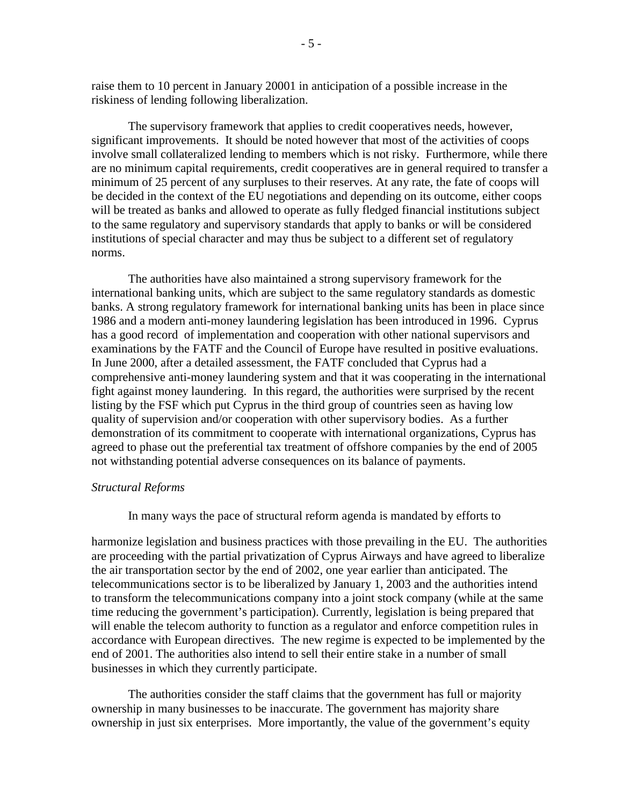raise them to 10 percent in January 20001 in anticipation of a possible increase in the riskiness of lending following liberalization.

The supervisory framework that applies to credit cooperatives needs, however, significant improvements. It should be noted however that most of the activities of coops involve small collateralized lending to members which is not risky. Furthermore, while there are no minimum capital requirements, credit cooperatives are in general required to transfer a minimum of 25 percent of any surpluses to their reserves. At any rate, the fate of coops will be decided in the context of the EU negotiations and depending on its outcome, either coops will be treated as banks and allowed to operate as fully fledged financial institutions subject to the same regulatory and supervisory standards that apply to banks or will be considered institutions of special character and may thus be subject to a different set of regulatory norms.

The authorities have also maintained a strong supervisory framework for the international banking units, which are subject to the same regulatory standards as domestic banks. A strong regulatory framework for international banking units has been in place since 1986 and a modern anti-money laundering legislation has been introduced in 1996. Cyprus has a good record of implementation and cooperation with other national supervisors and examinations by the FATF and the Council of Europe have resulted in positive evaluations. In June 2000, after a detailed assessment, the FATF concluded that Cyprus had a comprehensive anti-money laundering system and that it was cooperating in the international fight against money laundering. In this regard, the authorities were surprised by the recent listing by the FSF which put Cyprus in the third group of countries seen as having low quality of supervision and/or cooperation with other supervisory bodies. As a further demonstration of its commitment to cooperate with international organizations, Cyprus has agreed to phase out the preferential tax treatment of offshore companies by the end of 2005 not withstanding potential adverse consequences on its balance of payments.

### *Structural Reforms*

In many ways the pace of structural reform agenda is mandated by efforts to

harmonize legislation and business practices with those prevailing in the EU. The authorities are proceeding with the partial privatization of Cyprus Airways and have agreed to liberalize the air transportation sector by the end of 2002, one year earlier than anticipated. The telecommunications sector is to be liberalized by January 1, 2003 and the authorities intend to transform the telecommunications company into a joint stock company (while at the same time reducing the government's participation). Currently, legislation is being prepared that will enable the telecom authority to function as a regulator and enforce competition rules in accordance with European directives. The new regime is expected to be implemented by the end of 2001. The authorities also intend to sell their entire stake in a number of small businesses in which they currently participate.

The authorities consider the staff claims that the government has full or majority ownership in many businesses to be inaccurate. The government has majority share ownership in just six enterprises. More importantly, the value of the government's equity